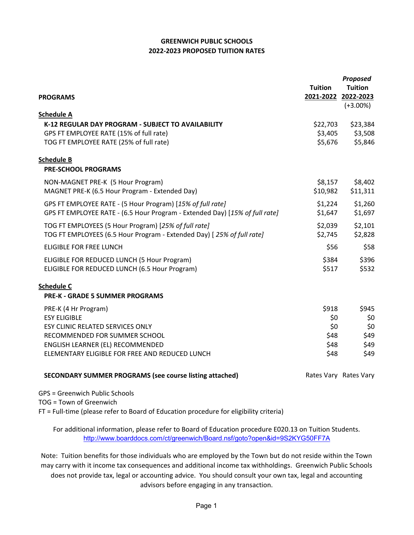## **GREENWICH PUBLIC SCHOOLS 2022-2023 PROPOSED TUITION RATES**

|                                                                             |                     | Proposed              |
|-----------------------------------------------------------------------------|---------------------|-----------------------|
|                                                                             | <b>Tuition</b>      | <b>Tuition</b>        |
| <b>PROGRAMS</b>                                                             | 2021-2022 2022-2023 | $(+3.00\%)$           |
| <b>Schedule A</b>                                                           |                     |                       |
| K-12 REGULAR DAY PROGRAM - SUBJECT TO AVAILABILITY                          | \$22,703            | \$23,384              |
| GPS FT EMPLOYEE RATE (15% of full rate)                                     | \$3,405             | \$3,508               |
| TOG FT EMPLOYEE RATE (25% of full rate)                                     | \$5,676             | \$5,846               |
| <b>Schedule B</b>                                                           |                     |                       |
| <b>PRE-SCHOOL PROGRAMS</b>                                                  |                     |                       |
| NON-MAGNET PRE-K (5 Hour Program)                                           | \$8,157             | \$8,402               |
| MAGNET PRE-K (6.5 Hour Program - Extended Day)                              | \$10,982            | \$11,311              |
| GPS FT EMPLOYEE RATE - (5 Hour Program) [15% of full rate]                  | \$1,224             | \$1,260               |
| GPS FT EMPLOYEE RATE - (6.5 Hour Program - Extended Day) [15% of full rate] | \$1,647             | \$1,697               |
| TOG FT EMPLOYEES (5 Hour Program) [25% of full rate]                        | \$2,039             | \$2,101               |
| TOG FT EMPLOYEES (6.5 Hour Program - Extended Day) [25% of full rate]       | \$2,745             | \$2,828               |
| <b>ELIGIBLE FOR FREE LUNCH</b>                                              | \$56                | \$58                  |
| ELIGIBLE FOR REDUCED LUNCH (5 Hour Program)                                 | \$384               | \$396                 |
| ELIGIBLE FOR REDUCED LUNCH (6.5 Hour Program)                               | \$517               | \$532                 |
| <b>Schedule C</b>                                                           |                     |                       |
| <b>PRE-K - GRADE 5 SUMMER PROGRAMS</b>                                      |                     |                       |
| PRE-K (4 Hr Program)                                                        | \$918               | \$945                 |
| <b>ESY ELIGIBLE</b>                                                         | \$0                 | \$0                   |
| ESY CLINIC RELATED SERVICES ONLY                                            | \$0                 | \$0                   |
| RECOMMENDED FOR SUMMER SCHOOL                                               | \$48                | \$49                  |
| ENGLISH LEARNER (EL) RECOMMENDED                                            | \$48                | \$49                  |
| ELEMENTARY ELIGIBLE FOR FREE AND REDUCED LUNCH                              | \$48                | \$49                  |
| <b>SECONDARY SUMMER PROGRAMS (see course listing attached)</b>              |                     | Rates Vary Rates Vary |

GPS = Greenwich Public Schools TOG = Town of Greenwich

FT = Full-time (please refer to Board of Education procedure for eligibility criteria)

For additional information, please refer to Board of Education procedure E020.13 on Tuition Students. <http://www.boarddocs.com/ct/greenwich/Board.nsf/goto?open&id=9S2KYG50FF7A>

Note: Tuition benefits for those individuals who are employed by the Town but do not reside within the Town may carry with it income tax consequences and additional income tax withholdings. Greenwich Public Schools does not provide tax, legal or accounting advice. You should consult your own tax, legal and accounting advisors before engaging in any transaction.